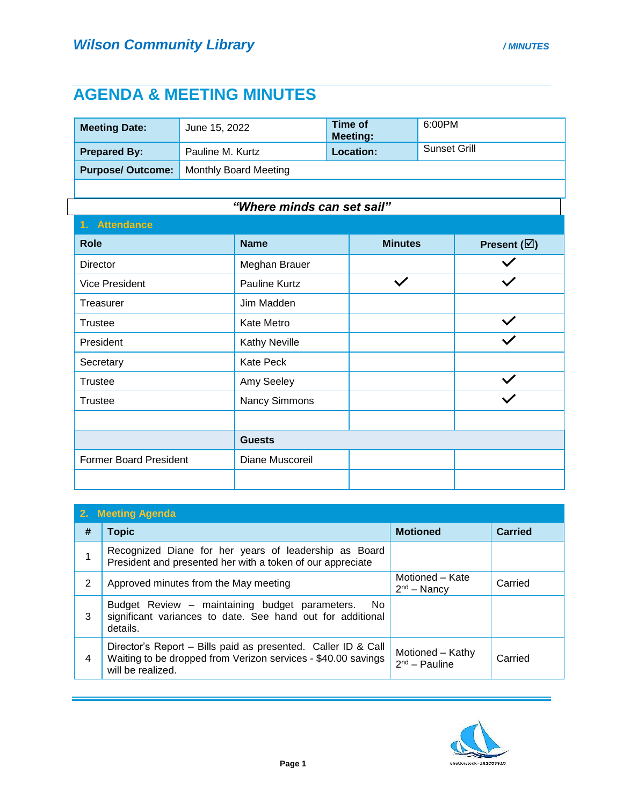## **AGENDA & MEETING MINUTES**

| <b>Meeting Date:</b>    | June 15, 2022                | Time of<br><b>Meeting:</b> | 6:00PM       |
|-------------------------|------------------------------|----------------------------|--------------|
| <b>Prepared By:</b>     | Pauline M. Kurtz             | <b>Location:</b>           | Sunset Grill |
| <b>Purpose/Outcome:</b> | <b>Monthly Board Meeting</b> |                            |              |

## *"Where minds can set sail"*

| 1. Attendance                 |                      |                |                       |
|-------------------------------|----------------------|----------------|-----------------------|
| <b>Role</b>                   | <b>Name</b>          | <b>Minutes</b> | Present $(\boxtimes)$ |
| Director                      | Meghan Brauer        |                |                       |
| <b>Vice President</b>         | Pauline Kurtz        | $\checkmark$   | $\checkmark$          |
| Treasurer                     | Jim Madden           |                |                       |
| Trustee                       | Kate Metro           |                | $\checkmark$          |
| President                     | <b>Kathy Neville</b> |                | $\checkmark$          |
| Secretary                     | <b>Kate Peck</b>     |                |                       |
| <b>Trustee</b>                | Amy Seeley           |                | $\checkmark$          |
| <b>Trustee</b>                | Nancy Simmons        |                | $\checkmark$          |
|                               |                      |                |                       |
|                               | <b>Guests</b>        |                |                       |
| <b>Former Board President</b> | Diane Muscoreil      |                |                       |
|                               |                      |                |                       |

| 2. Meeting Agenda |                                                                                                                                                     |                                     |         |  |
|-------------------|-----------------------------------------------------------------------------------------------------------------------------------------------------|-------------------------------------|---------|--|
| #                 | <b>Topic</b>                                                                                                                                        | <b>Motioned</b>                     | Carried |  |
|                   | Recognized Diane for her years of leadership as Board<br>President and presented her with a token of our appreciate                                 |                                     |         |  |
| $\overline{2}$    | Approved minutes from the May meeting                                                                                                               | Motioned - Kate<br>$2nd - Nancy$    | Carried |  |
| 3                 | Budget Review – maintaining budget parameters.<br>- No<br>significant variances to date. See hand out for additional<br>details.                    |                                     |         |  |
| 4                 | Director's Report – Bills paid as presented. Caller ID & Call<br>Waiting to be dropped from Verizon services - \$40.00 savings<br>will be realized. | Motioned - Kathy<br>$2nd$ – Pauline | Carried |  |

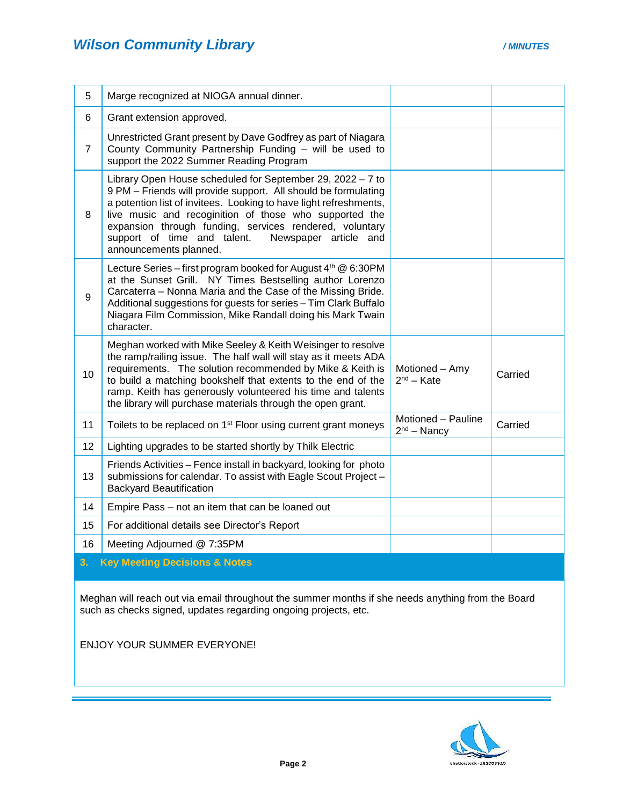| 5              | Marge recognized at NIOGA annual dinner.                                                                                                                                                                                                                                                                                                                                                                 |                                     |         |
|----------------|----------------------------------------------------------------------------------------------------------------------------------------------------------------------------------------------------------------------------------------------------------------------------------------------------------------------------------------------------------------------------------------------------------|-------------------------------------|---------|
| 6              | Grant extension approved.                                                                                                                                                                                                                                                                                                                                                                                |                                     |         |
| $\overline{7}$ | Unrestricted Grant present by Dave Godfrey as part of Niagara<br>County Community Partnership Funding - will be used to<br>support the 2022 Summer Reading Program                                                                                                                                                                                                                                       |                                     |         |
| 8              | Library Open House scheduled for September 29, 2022 - 7 to<br>9 PM - Friends will provide support. All should be formulating<br>a potention list of invitees. Looking to have light refreshments,<br>live music and recoginition of those who supported the<br>expansion through funding, services rendered, voluntary<br>support of time and talent.<br>Newspaper article and<br>announcements planned. |                                     |         |
| $9\,$          | Lecture Series - first program booked for August 4th @ 6:30PM<br>at the Sunset Grill. NY Times Bestselling author Lorenzo<br>Carcaterra - Nonna Maria and the Case of the Missing Bride.<br>Additional suggestions for guests for series - Tim Clark Buffalo<br>Niagara Film Commission, Mike Randall doing his Mark Twain<br>character.                                                                 |                                     |         |
| 10             | Meghan worked with Mike Seeley & Keith Weisinger to resolve<br>the ramp/railing issue. The half wall will stay as it meets ADA<br>requirements. The solution recommended by Mike & Keith is<br>to build a matching bookshelf that extents to the end of the<br>ramp. Keith has generously volunteered his time and talents<br>the library will purchase materials through the open grant.                | Motioned - Amy<br>$2nd - Kate$      | Carried |
| 11             | Toilets to be replaced on 1 <sup>st</sup> Floor using current grant moneys                                                                                                                                                                                                                                                                                                                               | Motioned - Pauline<br>$2nd - Nancy$ | Carried |
| 12             | Lighting upgrades to be started shortly by Thilk Electric                                                                                                                                                                                                                                                                                                                                                |                                     |         |
| 13             | Friends Activities - Fence install in backyard, looking for photo<br>submissions for calendar. To assist with Eagle Scout Project -<br><b>Backyard Beautification</b>                                                                                                                                                                                                                                    |                                     |         |
| 14             | Empire Pass - not an item that can be loaned out                                                                                                                                                                                                                                                                                                                                                         |                                     |         |
| 15             | For additional details see Director's Report                                                                                                                                                                                                                                                                                                                                                             |                                     |         |
| 16             | Meeting Adjourned @ 7:35PM                                                                                                                                                                                                                                                                                                                                                                               |                                     |         |
| 3.             | <b>Key Meeting Decisions &amp; Notes</b>                                                                                                                                                                                                                                                                                                                                                                 |                                     |         |

Meghan will reach out via email throughout the summer months if she needs anything from the Board such as checks signed, updates regarding ongoing projects, etc.

ENJOY YOUR SUMMER EVERYONE!